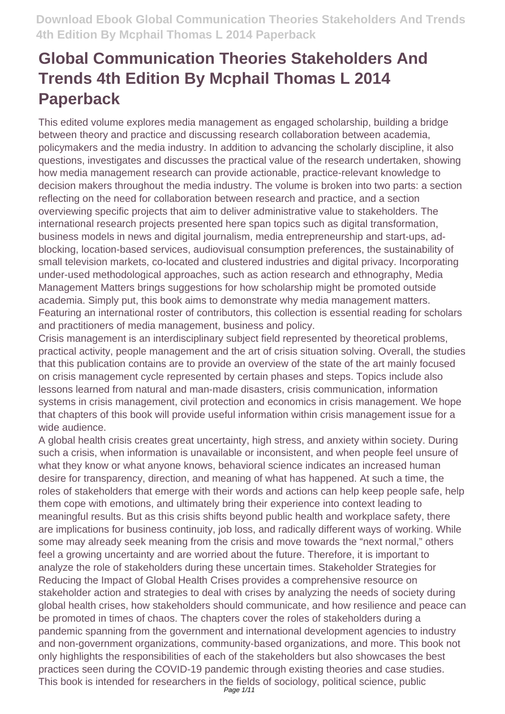This edited volume explores media management as engaged scholarship, building a bridge between theory and practice and discussing research collaboration between academia, policymakers and the media industry. In addition to advancing the scholarly discipline, it also questions, investigates and discusses the practical value of the research undertaken, showing how media management research can provide actionable, practice-relevant knowledge to decision makers throughout the media industry. The volume is broken into two parts: a section reflecting on the need for collaboration between research and practice, and a section overviewing specific projects that aim to deliver administrative value to stakeholders. The international research projects presented here span topics such as digital transformation, business models in news and digital journalism, media entrepreneurship and start-ups, adblocking, location-based services, audiovisual consumption preferences, the sustainability of small television markets, co-located and clustered industries and digital privacy. Incorporating under-used methodological approaches, such as action research and ethnography, Media Management Matters brings suggestions for how scholarship might be promoted outside academia. Simply put, this book aims to demonstrate why media management matters. Featuring an international roster of contributors, this collection is essential reading for scholars and practitioners of media management, business and policy.

Crisis management is an interdisciplinary subject field represented by theoretical problems, practical activity, people management and the art of crisis situation solving. Overall, the studies that this publication contains are to provide an overview of the state of the art mainly focused on crisis management cycle represented by certain phases and steps. Topics include also lessons learned from natural and man-made disasters, crisis communication, information systems in crisis management, civil protection and economics in crisis management. We hope that chapters of this book will provide useful information within crisis management issue for a wide audience.

A global health crisis creates great uncertainty, high stress, and anxiety within society. During such a crisis, when information is unavailable or inconsistent, and when people feel unsure of what they know or what anyone knows, behavioral science indicates an increased human desire for transparency, direction, and meaning of what has happened. At such a time, the roles of stakeholders that emerge with their words and actions can help keep people safe, help them cope with emotions, and ultimately bring their experience into context leading to meaningful results. But as this crisis shifts beyond public health and workplace safety, there are implications for business continuity, job loss, and radically different ways of working. While some may already seek meaning from the crisis and move towards the "next normal," others feel a growing uncertainty and are worried about the future. Therefore, it is important to analyze the role of stakeholders during these uncertain times. Stakeholder Strategies for Reducing the Impact of Global Health Crises provides a comprehensive resource on stakeholder action and strategies to deal with crises by analyzing the needs of society during global health crises, how stakeholders should communicate, and how resilience and peace can be promoted in times of chaos. The chapters cover the roles of stakeholders during a pandemic spanning from the government and international development agencies to industry and non-government organizations, community-based organizations, and more. This book not only highlights the responsibilities of each of the stakeholders but also showcases the best practices seen during the COVID-19 pandemic through existing theories and case studies. This book is intended for researchers in the fields of sociology, political science, public Page 1/11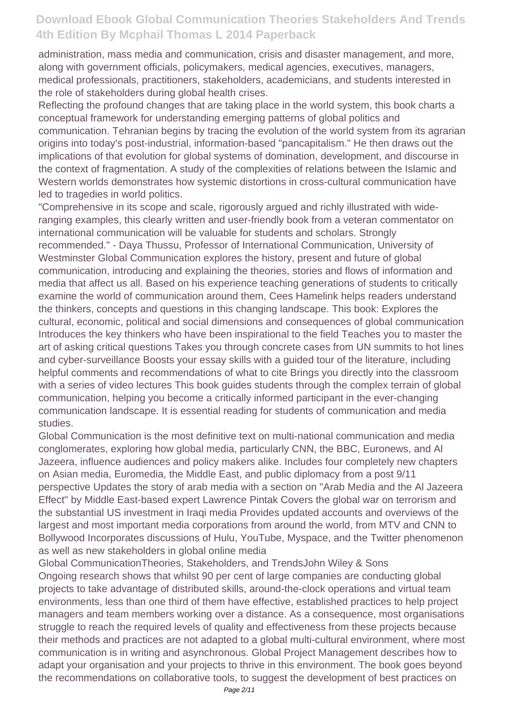administration, mass media and communication, crisis and disaster management, and more, along with government officials, policymakers, medical agencies, executives, managers, medical professionals, practitioners, stakeholders, academicians, and students interested in the role of stakeholders during global health crises.

Reflecting the profound changes that are taking place in the world system, this book charts a conceptual framework for understanding emerging patterns of global politics and communication. Tehranian begins by tracing the evolution of the world system from its agrarian origins into today's post-industrial, information-based "pancapitalism." He then draws out the implications of that evolution for global systems of domination, development, and discourse in the context of fragmentation. A study of the complexities of relations between the Islamic and Western worlds demonstrates how systemic distortions in cross-cultural communication have led to tragedies in world politics.

"Comprehensive in its scope and scale, rigorously argued and richly illustrated with wideranging examples, this clearly written and user-friendly book from a veteran commentator on international communication will be valuable for students and scholars. Strongly recommended." - Daya Thussu, Professor of International Communication, University of Westminster Global Communication explores the history, present and future of global communication, introducing and explaining the theories, stories and flows of information and media that affect us all. Based on his experience teaching generations of students to critically examine the world of communication around them, Cees Hamelink helps readers understand the thinkers, concepts and questions in this changing landscape. This book: Explores the cultural, economic, political and social dimensions and consequences of global communication Introduces the key thinkers who have been inspirational to the field Teaches you to master the art of asking critical questions Takes you through concrete cases from UN summits to hot lines and cyber-surveillance Boosts your essay skills with a guided tour of the literature, including helpful comments and recommendations of what to cite Brings you directly into the classroom with a series of video lectures This book guides students through the complex terrain of global communication, helping you become a critically informed participant in the ever-changing communication landscape. It is essential reading for students of communication and media studies.

Global Communication is the most definitive text on multi-national communication and media conglomerates, exploring how global media, particularly CNN, the BBC, Euronews, and Al Jazeera, influence audiences and policy makers alike. Includes four completely new chapters on Asian media, Euromedia, the Middle East, and public diplomacy from a post 9/11 perspective Updates the story of arab media with a section on "Arab Media and the Al Jazeera Effect" by Middle East-based expert Lawrence Pintak Covers the global war on terrorism and the substantial US investment in Iraqi media Provides updated accounts and overviews of the largest and most important media corporations from around the world, from MTV and CNN to Bollywood Incorporates discussions of Hulu, YouTube, Myspace, and the Twitter phenomenon as well as new stakeholders in global online media

Global CommunicationTheories, Stakeholders, and TrendsJohn Wiley & Sons Ongoing research shows that whilst 90 per cent of large companies are conducting global projects to take advantage of distributed skills, around-the-clock operations and virtual team environments, less than one third of them have effective, established practices to help project managers and team members working over a distance. As a consequence, most organisations struggle to reach the required levels of quality and effectiveness from these projects because their methods and practices are not adapted to a global multi-cultural environment, where most communication is in writing and asynchronous. Global Project Management describes how to adapt your organisation and your projects to thrive in this environment. The book goes beyond the recommendations on collaborative tools, to suggest the development of best practices on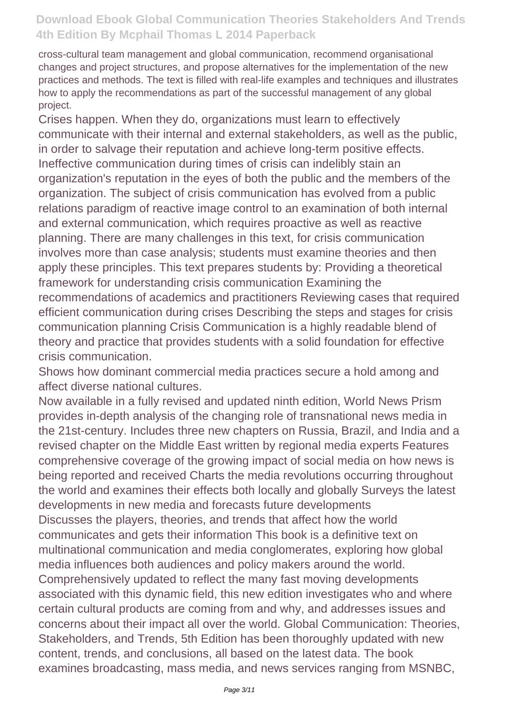cross-cultural team management and global communication, recommend organisational changes and project structures, and propose alternatives for the implementation of the new practices and methods. The text is filled with real-life examples and techniques and illustrates how to apply the recommendations as part of the successful management of any global project.

Crises happen. When they do, organizations must learn to effectively communicate with their internal and external stakeholders, as well as the public, in order to salvage their reputation and achieve long-term positive effects. Ineffective communication during times of crisis can indelibly stain an organization's reputation in the eyes of both the public and the members of the organization. The subject of crisis communication has evolved from a public relations paradigm of reactive image control to an examination of both internal and external communication, which requires proactive as well as reactive planning. There are many challenges in this text, for crisis communication involves more than case analysis; students must examine theories and then apply these principles. This text prepares students by: Providing a theoretical framework for understanding crisis communication Examining the recommendations of academics and practitioners Reviewing cases that required efficient communication during crises Describing the steps and stages for crisis communication planning Crisis Communication is a highly readable blend of theory and practice that provides students with a solid foundation for effective crisis communication.

Shows how dominant commercial media practices secure a hold among and affect diverse national cultures.

Now available in a fully revised and updated ninth edition, World News Prism provides in-depth analysis of the changing role of transnational news media in the 21st-century. Includes three new chapters on Russia, Brazil, and India and a revised chapter on the Middle East written by regional media experts Features comprehensive coverage of the growing impact of social media on how news is being reported and received Charts the media revolutions occurring throughout the world and examines their effects both locally and globally Surveys the latest developments in new media and forecasts future developments Discusses the players, theories, and trends that affect how the world communicates and gets their information This book is a definitive text on multinational communication and media conglomerates, exploring how global media influences both audiences and policy makers around the world. Comprehensively updated to reflect the many fast moving developments associated with this dynamic field, this new edition investigates who and where certain cultural products are coming from and why, and addresses issues and concerns about their impact all over the world. Global Communication: Theories, Stakeholders, and Trends, 5th Edition has been thoroughly updated with new content, trends, and conclusions, all based on the latest data. The book examines broadcasting, mass media, and news services ranging from MSNBC,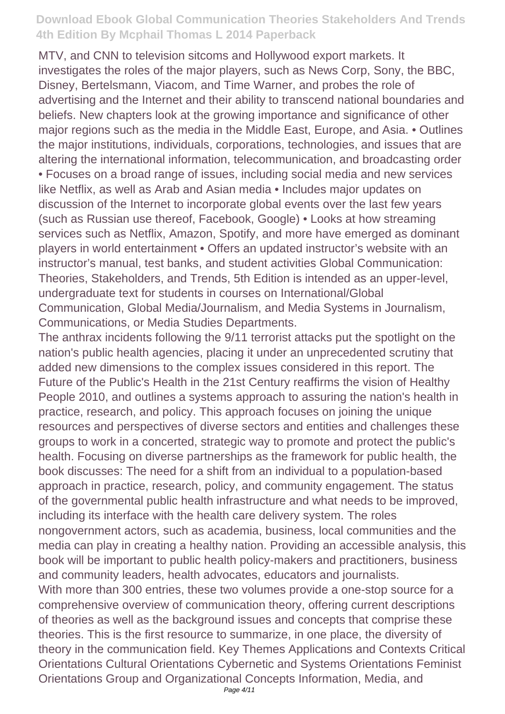MTV, and CNN to television sitcoms and Hollywood export markets. It investigates the roles of the major players, such as News Corp, Sony, the BBC, Disney, Bertelsmann, Viacom, and Time Warner, and probes the role of advertising and the Internet and their ability to transcend national boundaries and beliefs. New chapters look at the growing importance and significance of other major regions such as the media in the Middle East, Europe, and Asia. • Outlines the major institutions, individuals, corporations, technologies, and issues that are altering the international information, telecommunication, and broadcasting order • Focuses on a broad range of issues, including social media and new services like Netflix, as well as Arab and Asian media • Includes major updates on discussion of the Internet to incorporate global events over the last few years (such as Russian use thereof, Facebook, Google) • Looks at how streaming services such as Netflix, Amazon, Spotify, and more have emerged as dominant players in world entertainment • Offers an updated instructor's website with an instructor's manual, test banks, and student activities Global Communication: Theories, Stakeholders, and Trends, 5th Edition is intended as an upper-level, undergraduate text for students in courses on International/Global Communication, Global Media/Journalism, and Media Systems in Journalism, Communications, or Media Studies Departments.

The anthrax incidents following the 9/11 terrorist attacks put the spotlight on the nation's public health agencies, placing it under an unprecedented scrutiny that added new dimensions to the complex issues considered in this report. The Future of the Public's Health in the 21st Century reaffirms the vision of Healthy People 2010, and outlines a systems approach to assuring the nation's health in practice, research, and policy. This approach focuses on joining the unique resources and perspectives of diverse sectors and entities and challenges these groups to work in a concerted, strategic way to promote and protect the public's health. Focusing on diverse partnerships as the framework for public health, the book discusses: The need for a shift from an individual to a population-based approach in practice, research, policy, and community engagement. The status of the governmental public health infrastructure and what needs to be improved, including its interface with the health care delivery system. The roles nongovernment actors, such as academia, business, local communities and the media can play in creating a healthy nation. Providing an accessible analysis, this book will be important to public health policy-makers and practitioners, business and community leaders, health advocates, educators and journalists. With more than 300 entries, these two volumes provide a one-stop source for a comprehensive overview of communication theory, offering current descriptions of theories as well as the background issues and concepts that comprise these theories. This is the first resource to summarize, in one place, the diversity of theory in the communication field. Key Themes Applications and Contexts Critical Orientations Cultural Orientations Cybernetic and Systems Orientations Feminist

Orientations Group and Organizational Concepts Information, Media, and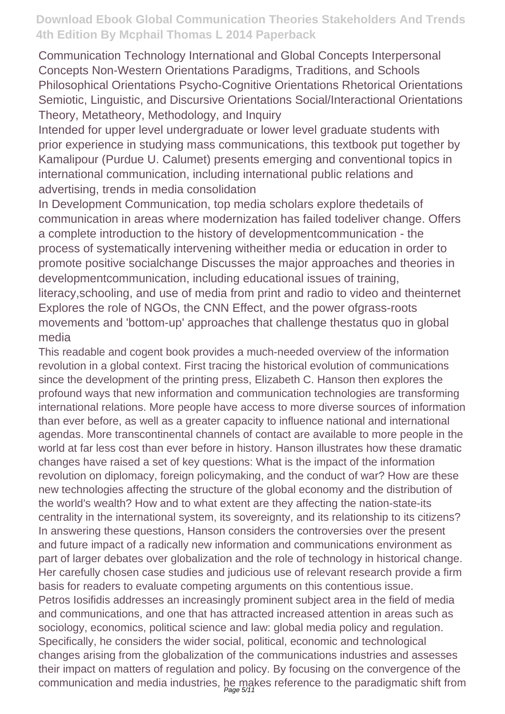Communication Technology International and Global Concepts Interpersonal Concepts Non-Western Orientations Paradigms, Traditions, and Schools Philosophical Orientations Psycho-Cognitive Orientations Rhetorical Orientations Semiotic, Linguistic, and Discursive Orientations Social/Interactional Orientations Theory, Metatheory, Methodology, and Inquiry

Intended for upper level undergraduate or lower level graduate students with prior experience in studying mass communications, this textbook put together by Kamalipour (Purdue U. Calumet) presents emerging and conventional topics in international communication, including international public relations and advertising, trends in media consolidation

In Development Communication, top media scholars explore thedetails of communication in areas where modernization has failed todeliver change. Offers a complete introduction to the history of developmentcommunication - the process of systematically intervening witheither media or education in order to promote positive socialchange Discusses the major approaches and theories in developmentcommunication, including educational issues of training, literacy,schooling, and use of media from print and radio to video and theinternet Explores the role of NGOs, the CNN Effect, and the power ofgrass-roots movements and 'bottom-up' approaches that challenge thestatus quo in global media

This readable and cogent book provides a much-needed overview of the information revolution in a global context. First tracing the historical evolution of communications since the development of the printing press, Elizabeth C. Hanson then explores the profound ways that new information and communication technologies are transforming international relations. More people have access to more diverse sources of information than ever before, as well as a greater capacity to influence national and international agendas. More transcontinental channels of contact are available to more people in the world at far less cost than ever before in history. Hanson illustrates how these dramatic changes have raised a set of key questions: What is the impact of the information revolution on diplomacy, foreign policymaking, and the conduct of war? How are these new technologies affecting the structure of the global economy and the distribution of the world's wealth? How and to what extent are they affecting the nation-state-its centrality in the international system, its sovereignty, and its relationship to its citizens? In answering these questions, Hanson considers the controversies over the present and future impact of a radically new information and communications environment as part of larger debates over globalization and the role of technology in historical change. Her carefully chosen case studies and judicious use of relevant research provide a firm basis for readers to evaluate competing arguments on this contentious issue. Petros Iosifidis addresses an increasingly prominent subject area in the field of media and communications, and one that has attracted increased attention in areas such as sociology, economics, political science and law: global media policy and regulation. Specifically, he considers the wider social, political, economic and technological changes arising from the globalization of the communications industries and assesses their impact on matters of regulation and policy. By focusing on the convergence of the communication and media industries, he makes reference to the paradigmatic shift from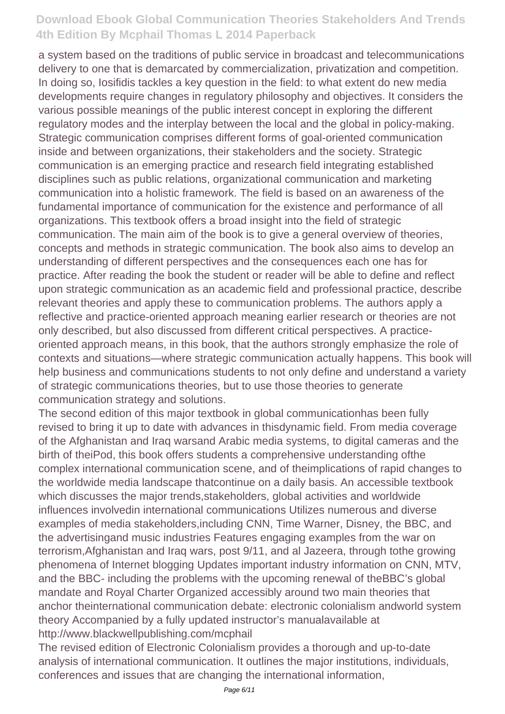a system based on the traditions of public service in broadcast and telecommunications delivery to one that is demarcated by commercialization, privatization and competition. In doing so, Iosifidis tackles a key question in the field: to what extent do new media developments require changes in regulatory philosophy and objectives. It considers the various possible meanings of the public interest concept in exploring the different regulatory modes and the interplay between the local and the global in policy-making. Strategic communication comprises different forms of goal-oriented communication inside and between organizations, their stakeholders and the society. Strategic communication is an emerging practice and research field integrating established disciplines such as public relations, organizational communication and marketing communication into a holistic framework. The field is based on an awareness of the fundamental importance of communication for the existence and performance of all organizations. This textbook offers a broad insight into the field of strategic communication. The main aim of the book is to give a general overview of theories, concepts and methods in strategic communication. The book also aims to develop an understanding of different perspectives and the consequences each one has for practice. After reading the book the student or reader will be able to define and reflect upon strategic communication as an academic field and professional practice, describe relevant theories and apply these to communication problems. The authors apply a reflective and practice-oriented approach meaning earlier research or theories are not only described, but also discussed from different critical perspectives. A practiceoriented approach means, in this book, that the authors strongly emphasize the role of contexts and situations—where strategic communication actually happens. This book will help business and communications students to not only define and understand a variety of strategic communications theories, but to use those theories to generate communication strategy and solutions.

The second edition of this major textbook in global communicationhas been fully revised to bring it up to date with advances in thisdynamic field. From media coverage of the Afghanistan and Iraq warsand Arabic media systems, to digital cameras and the birth of theiPod, this book offers students a comprehensive understanding ofthe complex international communication scene, and of theimplications of rapid changes to the worldwide media landscape thatcontinue on a daily basis. An accessible textbook which discusses the major trends,stakeholders, global activities and worldwide influences involvedin international communications Utilizes numerous and diverse examples of media stakeholders,including CNN, Time Warner, Disney, the BBC, and the advertisingand music industries Features engaging examples from the war on terrorism,Afghanistan and Iraq wars, post 9/11, and al Jazeera, through tothe growing phenomena of Internet blogging Updates important industry information on CNN, MTV, and the BBC- including the problems with the upcoming renewal of theBBC's global mandate and Royal Charter Organized accessibly around two main theories that anchor theinternational communication debate: electronic colonialism andworld system theory Accompanied by a fully updated instructor's manualavailable at http://www.blackwellpublishing.com/mcphail

The revised edition of Electronic Colonialism provides a thorough and up-to-date analysis of international communication. It outlines the major institutions, individuals, conferences and issues that are changing the international information,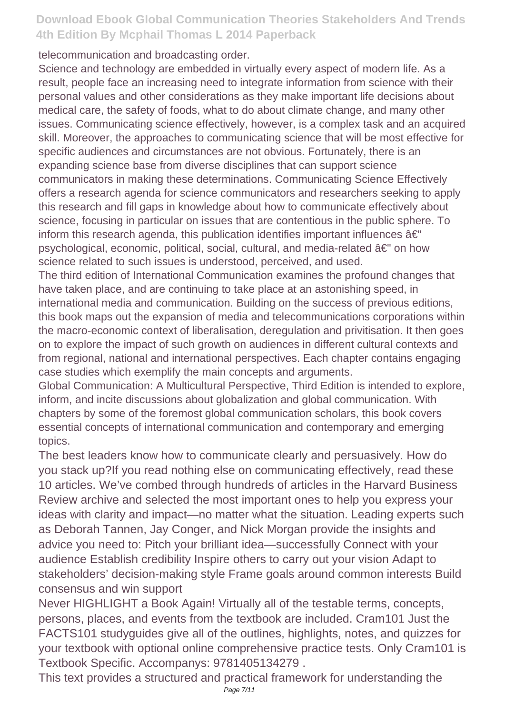telecommunication and broadcasting order.

Science and technology are embedded in virtually every aspect of modern life. As a result, people face an increasing need to integrate information from science with their personal values and other considerations as they make important life decisions about medical care, the safety of foods, what to do about climate change, and many other issues. Communicating science effectively, however, is a complex task and an acquired skill. Moreover, the approaches to communicating science that will be most effective for specific audiences and circumstances are not obvious. Fortunately, there is an expanding science base from diverse disciplines that can support science communicators in making these determinations. Communicating Science Effectively offers a research agenda for science communicators and researchers seeking to apply this research and fill gaps in knowledge about how to communicate effectively about science, focusing in particular on issues that are contentious in the public sphere. To inform this research agenda, this publication identifies important influences  $\hat{a}\epsilon$ " psychological, economic, political, social, cultural, and media-related â€" on how science related to such issues is understood, perceived, and used.

The third edition of International Communication examines the profound changes that have taken place, and are continuing to take place at an astonishing speed, in international media and communication. Building on the success of previous editions, this book maps out the expansion of media and telecommunications corporations within the macro-economic context of liberalisation, deregulation and privitisation. It then goes on to explore the impact of such growth on audiences in different cultural contexts and from regional, national and international perspectives. Each chapter contains engaging case studies which exemplify the main concepts and arguments.

Global Communication: A Multicultural Perspective, Third Edition is intended to explore, inform, and incite discussions about globalization and global communication. With chapters by some of the foremost global communication scholars, this book covers essential concepts of international communication and contemporary and emerging topics.

The best leaders know how to communicate clearly and persuasively. How do you stack up?If you read nothing else on communicating effectively, read these 10 articles. We've combed through hundreds of articles in the Harvard Business Review archive and selected the most important ones to help you express your ideas with clarity and impact—no matter what the situation. Leading experts such as Deborah Tannen, Jay Conger, and Nick Morgan provide the insights and advice you need to: Pitch your brilliant idea—successfully Connect with your audience Establish credibility Inspire others to carry out your vision Adapt to stakeholders' decision-making style Frame goals around common interests Build consensus and win support

Never HIGHLIGHT a Book Again! Virtually all of the testable terms, concepts, persons, places, and events from the textbook are included. Cram101 Just the FACTS101 studyguides give all of the outlines, highlights, notes, and quizzes for your textbook with optional online comprehensive practice tests. Only Cram101 is Textbook Specific. Accompanys: 9781405134279 .

This text provides a structured and practical framework for understanding the Page 7/11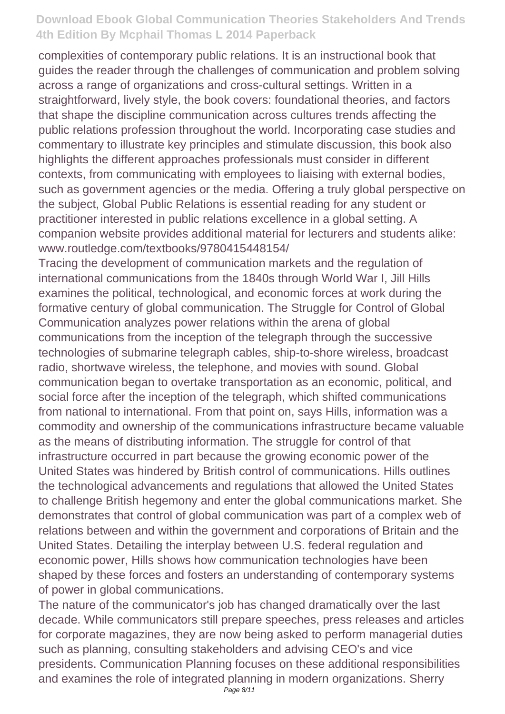complexities of contemporary public relations. It is an instructional book that guides the reader through the challenges of communication and problem solving across a range of organizations and cross-cultural settings. Written in a straightforward, lively style, the book covers: foundational theories, and factors that shape the discipline communication across cultures trends affecting the public relations profession throughout the world. Incorporating case studies and commentary to illustrate key principles and stimulate discussion, this book also highlights the different approaches professionals must consider in different contexts, from communicating with employees to liaising with external bodies, such as government agencies or the media. Offering a truly global perspective on the subject, Global Public Relations is essential reading for any student or practitioner interested in public relations excellence in a global setting. A companion website provides additional material for lecturers and students alike: www.routledge.com/textbooks/9780415448154/

Tracing the development of communication markets and the regulation of international communications from the 1840s through World War I, Jill Hills examines the political, technological, and economic forces at work during the formative century of global communication. The Struggle for Control of Global Communication analyzes power relations within the arena of global communications from the inception of the telegraph through the successive technologies of submarine telegraph cables, ship-to-shore wireless, broadcast radio, shortwave wireless, the telephone, and movies with sound. Global communication began to overtake transportation as an economic, political, and social force after the inception of the telegraph, which shifted communications from national to international. From that point on, says Hills, information was a commodity and ownership of the communications infrastructure became valuable as the means of distributing information. The struggle for control of that infrastructure occurred in part because the growing economic power of the United States was hindered by British control of communications. Hills outlines the technological advancements and regulations that allowed the United States to challenge British hegemony and enter the global communications market. She demonstrates that control of global communication was part of a complex web of relations between and within the government and corporations of Britain and the United States. Detailing the interplay between U.S. federal regulation and economic power, Hills shows how communication technologies have been shaped by these forces and fosters an understanding of contemporary systems of power in global communications.

The nature of the communicator's job has changed dramatically over the last decade. While communicators still prepare speeches, press releases and articles for corporate magazines, they are now being asked to perform managerial duties such as planning, consulting stakeholders and advising CEO's and vice presidents. Communication Planning focuses on these additional responsibilities and examines the role of integrated planning in modern organizations. Sherry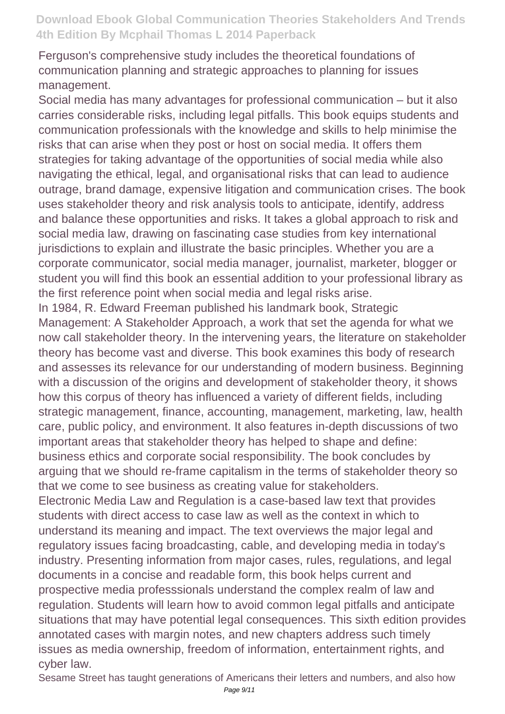Ferguson's comprehensive study includes the theoretical foundations of communication planning and strategic approaches to planning for issues management.

Social media has many advantages for professional communication – but it also carries considerable risks, including legal pitfalls. This book equips students and communication professionals with the knowledge and skills to help minimise the risks that can arise when they post or host on social media. It offers them strategies for taking advantage of the opportunities of social media while also navigating the ethical, legal, and organisational risks that can lead to audience outrage, brand damage, expensive litigation and communication crises. The book uses stakeholder theory and risk analysis tools to anticipate, identify, address and balance these opportunities and risks. It takes a global approach to risk and social media law, drawing on fascinating case studies from key international jurisdictions to explain and illustrate the basic principles. Whether you are a corporate communicator, social media manager, journalist, marketer, blogger or student you will find this book an essential addition to your professional library as the first reference point when social media and legal risks arise.

In 1984, R. Edward Freeman published his landmark book, Strategic Management: A Stakeholder Approach, a work that set the agenda for what we now call stakeholder theory. In the intervening years, the literature on stakeholder theory has become vast and diverse. This book examines this body of research and assesses its relevance for our understanding of modern business. Beginning with a discussion of the origins and development of stakeholder theory, it shows how this corpus of theory has influenced a variety of different fields, including strategic management, finance, accounting, management, marketing, law, health care, public policy, and environment. It also features in-depth discussions of two important areas that stakeholder theory has helped to shape and define: business ethics and corporate social responsibility. The book concludes by arguing that we should re-frame capitalism in the terms of stakeholder theory so that we come to see business as creating value for stakeholders.

Electronic Media Law and Regulation is a case-based law text that provides students with direct access to case law as well as the context in which to understand its meaning and impact. The text overviews the major legal and regulatory issues facing broadcasting, cable, and developing media in today's industry. Presenting information from major cases, rules, regulations, and legal documents in a concise and readable form, this book helps current and prospective media professsionals understand the complex realm of law and regulation. Students will learn how to avoid common legal pitfalls and anticipate situations that may have potential legal consequences. This sixth edition provides annotated cases with margin notes, and new chapters address such timely issues as media ownership, freedom of information, entertainment rights, and cyber law.

Sesame Street has taught generations of Americans their letters and numbers, and also how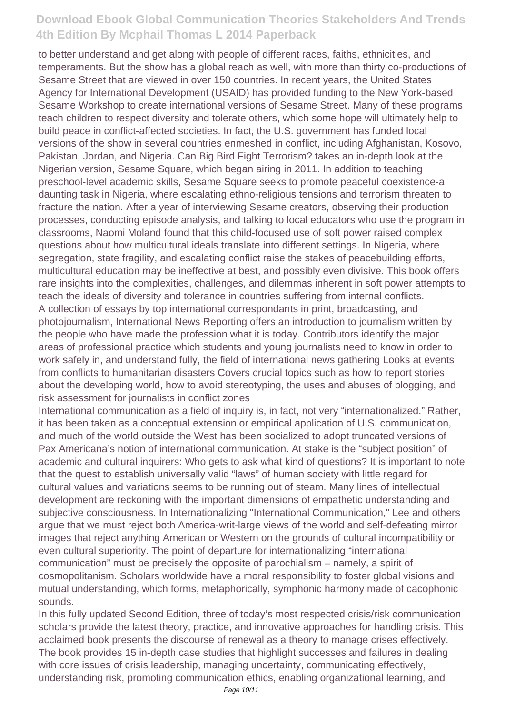to better understand and get along with people of different races, faiths, ethnicities, and temperaments. But the show has a global reach as well, with more than thirty co-productions of Sesame Street that are viewed in over 150 countries. In recent years, the United States Agency for International Development (USAID) has provided funding to the New York-based Sesame Workshop to create international versions of Sesame Street. Many of these programs teach children to respect diversity and tolerate others, which some hope will ultimately help to build peace in conflict-affected societies. In fact, the U.S. government has funded local versions of the show in several countries enmeshed in conflict, including Afghanistan, Kosovo, Pakistan, Jordan, and Nigeria. Can Big Bird Fight Terrorism? takes an in-depth look at the Nigerian version, Sesame Square, which began airing in 2011. In addition to teaching preschool-level academic skills, Sesame Square seeks to promote peaceful coexistence-a daunting task in Nigeria, where escalating ethno-religious tensions and terrorism threaten to fracture the nation. After a year of interviewing Sesame creators, observing their production processes, conducting episode analysis, and talking to local educators who use the program in classrooms, Naomi Moland found that this child-focused use of soft power raised complex questions about how multicultural ideals translate into different settings. In Nigeria, where segregation, state fragility, and escalating conflict raise the stakes of peacebuilding efforts, multicultural education may be ineffective at best, and possibly even divisive. This book offers rare insights into the complexities, challenges, and dilemmas inherent in soft power attempts to teach the ideals of diversity and tolerance in countries suffering from internal conflicts. A collection of essays by top international correspondants in print, broadcasting, and photojournalism, International News Reporting offers an introduction to journalism written by the people who have made the profession what it is today. Contributors identify the major areas of professional practice which students and young journalists need to know in order to work safely in, and understand fully, the field of international news gathering Looks at events from conflicts to humanitarian disasters Covers crucial topics such as how to report stories about the developing world, how to avoid stereotyping, the uses and abuses of blogging, and risk assessment for journalists in conflict zones

International communication as a field of inquiry is, in fact, not very "internationalized." Rather, it has been taken as a conceptual extension or empirical application of U.S. communication, and much of the world outside the West has been socialized to adopt truncated versions of Pax Americana's notion of international communication. At stake is the "subject position" of academic and cultural inquirers: Who gets to ask what kind of questions? It is important to note that the quest to establish universally valid "laws" of human society with little regard for cultural values and variations seems to be running out of steam. Many lines of intellectual development are reckoning with the important dimensions of empathetic understanding and subjective consciousness. In Internationalizing "International Communication," Lee and others argue that we must reject both America-writ-large views of the world and self-defeating mirror images that reject anything American or Western on the grounds of cultural incompatibility or even cultural superiority. The point of departure for internationalizing "international communication" must be precisely the opposite of parochialism – namely, a spirit of cosmopolitanism. Scholars worldwide have a moral responsibility to foster global visions and mutual understanding, which forms, metaphorically, symphonic harmony made of cacophonic sounds.

In this fully updated Second Edition, three of today's most respected crisis/risk communication scholars provide the latest theory, practice, and innovative approaches for handling crisis. This acclaimed book presents the discourse of renewal as a theory to manage crises effectively. The book provides 15 in-depth case studies that highlight successes and failures in dealing with core issues of crisis leadership, managing uncertainty, communicating effectively, understanding risk, promoting communication ethics, enabling organizational learning, and